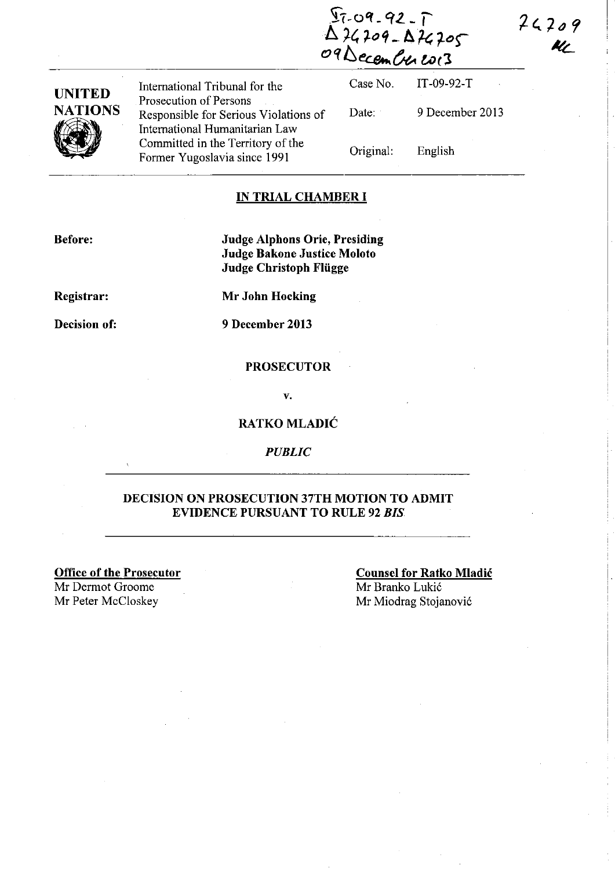$24209$ 

Kt

 $97 - 99 - 92 - 7$ **124209 - 124205**  $O9DecemC$ le  $\mathcal{L}o(3)$ 

| UNITED         |
|----------------|
| <b>NATIONS</b> |
|                |

International Tribunal for the Case No. Prosecution of Persons Responsible for Serious Violations of Date: International Humanitarian Law<br>Committed in the Territory of the Committed in the Territory of the Original: Former Yugoslavia since 1991

IT-09-92-T 9 December 2013 English

#### IN TRIAL CHAMBER **I**

Before:

Judge Alphons Orie, Presiding Judge Bakone Justice Moloto Judge Christoph Fliigge

Registrar:

Mr John Hocking

Decision of:

9 December 2013

#### PROSECUTOR

v.

#### RATKO MLADlC

*PUBLIC* 

# DECISION ON PROSECUTION 37TH MOTION TO ADMIT EVIDENCE PURSUANT TO RULE 92 *BIS.*

Office of the Prosecutor

Mr Dermot Groome

Counsel for Ratko Mladic Mr Branko Lukić Mr Peter McCloskey Mr Miodrag Stojanović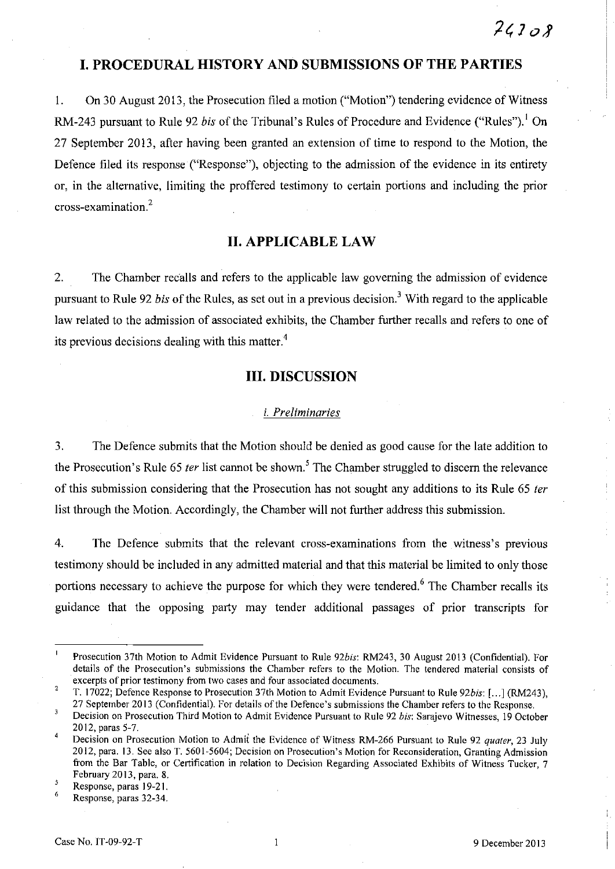# **I. PROCEDURAL HISTORY AND SUBMISSIONS OF THE PARTIES**

I. On 30 August 2013, the Prosecution filed a motion ("Motion") tendering evidence of Witness RM-243 pursuant to Rule 92 bis of the Tribunal's Rules of Procedure and Evidence ("Rules").<sup>1</sup> On 27 September 2013, after having been granted an extension of time to respond to the Motion, the Defence filed its response ("Response"), objecting to the admission of the evidence in its entirety or, in the alternative, limiting the proffered testimony to certain portions and including the prior cross-examination.<sup>2</sup>

# **11. APPLICABLE LAW**

2. The Chamber recalls and refers to the applicable law governing the admission of evidence pursuant to Rule 92 bis of the Rules, as set out in a previous decision.<sup>3</sup> With regard to the applicable law related to the admission of associated exhibits, the Chamber further recalls and refers to one of its previous decisions dealing with this matter. $4$ 

# **Ill. DISCUSSION**

## i. Preliminaries

3. The Defence submits that the Motion should be denied as good cause for the late addition to the Prosecution's Rule 65 *ter* list cannot be shown.<sup>5</sup> The Chamber struggled to discern the relevance of this submission considering that the Prosecution has not sought any additions to its Rule 65 ter list through the Motion. Accordingly, the Chamber will not further address this submission.

4. The Defence submits that the relevant cross-examinations from the witness's previous testimony should be included in any admitted material and that this material be limited to only those portions necessary to achieve the purpose for which they were tendered.<sup>6</sup> The Chamber recalls its guidance that the opposing party may tender additional passages of prior transcripts for

6 Response, paras 32-34.

 $\mathbf{I}$ Prosecution 37th Motion to Admit Evidence Pursuant to Rule *92bis:* RM243, 30 August 2013 (Confidential). For details of the Prosecution's submissions the Chamber refers to the Motion. The tendered material consists of **excerpts of prior testimony from two cases and four associated documents.** 

<sup>2</sup>  T. 17022; Defence Response to Prosecution 37th Motion to Admit Evidence Pursuant to Rule *92bis:* [ ... ] (RM243), 27 September 2013 (Confidential). For details of the Defence's submissions the Chamber refers to the Response.

 $\overline{\mathbf{3}}$ Decision on Prosecution Third Motion to Admit Evidence Pursuant to Rule 92 *bis:* Sarajevo Witnesses, 19 October 2012, paras 5-7.

Decision on Prosecution Motion to Admit the Evidence of Witness RM-266 Pursuant to Rule 92 *quater,* 23 July 2012, para. 13. See also T. 5601-5604; Decision on Prosecution's Motion for Reconsideration, Granting Admission from the Bar Table, or Certification in relation to Decision Regarding Associated Exhibits of Witness Tucker, 7 February 2013, para. 8.

<sup>5</sup>  Response, paras 19-21.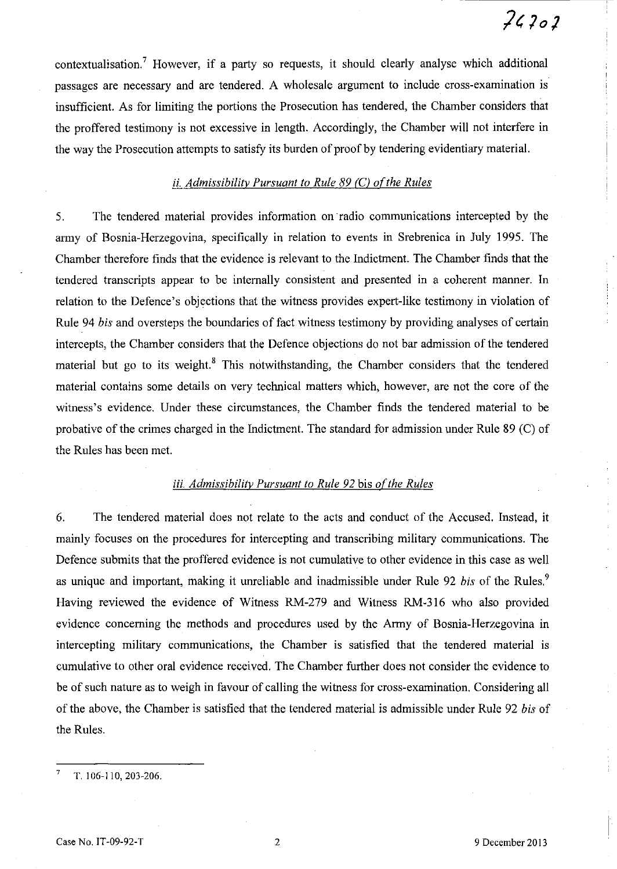# $74202$

contextualisation.<sup>7</sup> However, if a party so requests, it should clearly analyse which additional passages are necessary and are tendered. A wholesale argument to include cross-examination is insufficient. As for limiting the portions the Prosecution has tendered, the Chamber considers that the proffered testimony is not excessive in length. Accordingly, the Chamber will not interfere in the way the Prosecution attempts to satisfy its burden of proof by tendering evidentiary material.

# *ii. Admissibility Pursuant to Rule* 89 *CC) ofthe Rules*

5. The tendered material provides information on radio communications intercepted by the army of Bosnia-Herzegovina, specifically in relation to events in Srebrenica in July 1995. The Chamber therefore finds that the evidence is relevant to the Indictment. The Chamber finds that the tendered transcripts appear to be internally consistent and presented in a coherent manner. In relation to the Defence's objections that the witness provides expert-like testimony in violation of Rule 94 *bis* and oversteps the boundaries of fact witness testimony by providing analyses of certain intercepts, the Chamber considers that the Defence objections do not bar admission of the tendered material but go to its weight. $8$  This notwithstanding, the Chamber considers that the tendered material contains some details on very technical matters which, however, are not the core of the witness's evidence. Under these circumstances, the Chamber finds the tendered material to be probative of the crimes charged in the Indictment. The standard for admission under Rule 89 (C) of the Rules has been met.

# *iii. Admissibility Pursuant to Rule 92 bis of the Rules*

6. The tendered material does not relate to the acts and conduct of the Accused. Instead, it mainly focuses on the procedures for intercepting and transcribing military communications. The Defence submits that the proffered evidence is not cumulative to other evidence in this case as well as unique and important, making it unreliable and inadmissible under Rule 92 *bis* of the Rules.<sup>9</sup> Having reviewed the evidence of Witness RM-279 and Witness RM-316 who also provided evidence concerning the methods and procedures used by the Army of Bosnia-Herzegovina in intercepting military communications, the Chamber is satisfied that the tendered material is cumulative to other oral evidence received. The Chamber further does not consider the evidence to be of such nature as to weigh in favour of calling the witness for cross-examination. Considering all of the above, the Chamber is satisfied that the tendered material is admissible under Rule 92 *bis* of the Rules.

7 T. 106-110, 203-206.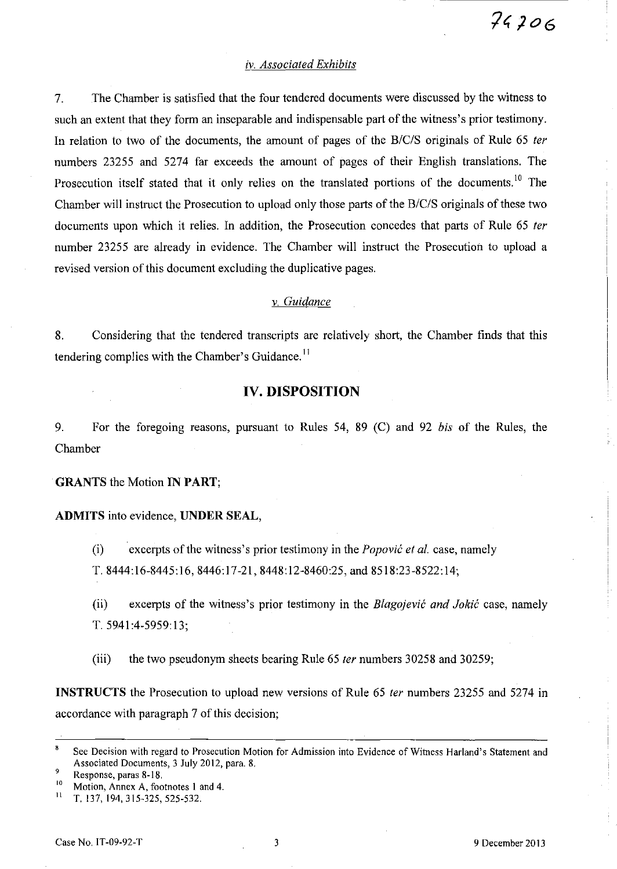## *iv. Associated Exhibits*

7. The Chamber is satisfied that the four tendered documents were discussed by the witness to such an extent that they form an inseparable and indispensable part of the witness's prior testimony. In relation to two of the documents, the amount of pages of the *B/C/S* originals of Rule 65 *fer*  numbers 23255 and 5274 far exceeds the amount of pages of their English translations. The Prosecution itself stated that it only relies on the translated portions of the documents.<sup>10</sup> The Chamber will instruct the Prosecution to upload only those parts of the *B/C/S* originals of these two documents upon which it relies. In addition, the Prosecution concedes that parts of Rule 65 *ter*  number 23255 are already in evidence. The Chamber will instruct the Prosecution to upload a revised version of this document excluding the duplicative pages.

# *v. Guidance*

8. Considering that the tendered transcripts are relatively short, the Chamber finds that this tendering complies with the Chamber's Guidance.<sup>11</sup>

# **IV. DISPOSITION**

9. For the foregoing reasons, pursuant to Rules 54, 89 (C) and 92 *bis* of the Rules, the Chamber

#### GRANTS the Motion **IN PART;**

#### **ADMITS** into evidence, **UNDER SEAL,**

(i) excerpts of the witness's prior testimony in the *Popovic et al.* case, namely T. 8444:16-8445:16, 8446:17-21, 8448:12-8460:25, and 8518:23-8522:14;

(ii) excerpts of the witness's prior testimony in the *Blagojevic and Jokic* case, namely T. 5941 :4-5959: 13;

(iii) the two pseudonym sheets bearing Rule 65 *ter* numbers 30258 and 30259;

**INSTRUCTS** the Prosecution to upload new versions of Rule 65 *fer* numbers 23255 and 5274 in accordance with paragraph 7 of this decision;

<sup>10</sup> Motion, Annex A, footnotes 1 and 4.<br><sup>11</sup> T 137 194 315-325 525-532

<sup>8</sup> See Decision with regard to Prosecution Motion for Admission into Evidence of Witness Harland's Statement and Associated Documents, 3 July 2012, para. 8.

Response, paras  $8-18$ .

<sup>11</sup> T. 137, 194,315-325,525-532.